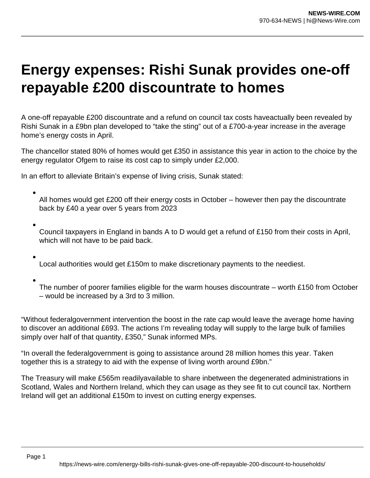## **Energy expenses: Rishi Sunak provides one-off repayable £200 discountrate to homes**

A one-off repayable £200 discountrate and a refund on council tax costs haveactually been revealed by Rishi Sunak in a £9bn plan developed to "take the sting" out of a £700-a-year increase in the average home's energy costs in April.

The chancellor stated 80% of homes would get £350 in assistance this year in action to the choice by the energy regulator Ofgem to raise its cost cap to simply under £2,000.

In an effort to alleviate Britain's expense of living crisis, Sunak stated:

All homes would get £200 off their energy costs in October – however then pay the discountrate back by £40 a year over 5 years from 2023

- Council taxpayers in England in bands A to D would get a refund of £150 from their costs in April, which will not have to be paid back.
- Local authorities would get £150m to make discretionary payments to the neediest.
- The number of poorer families eligible for the warm houses discountrate worth £150 from October – would be increased by a 3rd to 3 million.

"Without federalgovernment intervention the boost in the rate cap would leave the average home having to discover an additional £693. The actions I'm revealing today will supply to the large bulk of families simply over half of that quantity, £350," Sunak informed MPs.

"In overall the federalgovernment is going to assistance around 28 million homes this year. Taken together this is a strategy to aid with the expense of living worth around £9bn."

The Treasury will make £565m readilyavailable to share inbetween the degenerated administrations in Scotland, Wales and Northern Ireland, which they can usage as they see fit to cut council tax. Northern Ireland will get an additional £150m to invest on cutting energy expenses.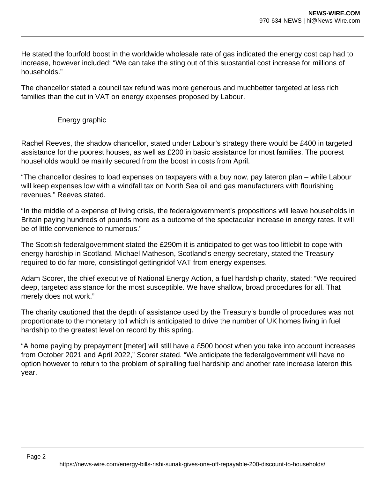He stated the fourfold boost in the worldwide wholesale rate of gas indicated the energy cost cap had to increase, however included: "We can take the sting out of this substantial cost increase for millions of households."

The chancellor stated a council tax refund was more generous and muchbetter targeted at less rich families than the cut in VAT on energy expenses proposed by Labour.

## Energy graphic

Rachel Reeves, the shadow chancellor, stated under Labour's strategy there would be £400 in targeted assistance for the poorest houses, as well as £200 in basic assistance for most families. The poorest households would be mainly secured from the boost in costs from April.

"The chancellor desires to load expenses on taxpayers with a buy now, pay lateron plan – while Labour will keep expenses low with a windfall tax on North Sea oil and gas manufacturers with flourishing revenues," Reeves stated.

"In the middle of a expense of living crisis, the federalgovernment's propositions will leave households in Britain paying hundreds of pounds more as a outcome of the spectacular increase in energy rates. It will be of little convenience to numerous."

The Scottish federalgovernment stated the £290m it is anticipated to get was too littlebit to cope with energy hardship in Scotland. Michael Matheson, Scotland's energy secretary, stated the Treasury required to do far more, consistingof gettingridof VAT from energy expenses.

Adam Scorer, the chief executive of National Energy Action, a fuel hardship charity, stated: "We required deep, targeted assistance for the most susceptible. We have shallow, broad procedures for all. That merely does not work."

The charity cautioned that the depth of assistance used by the Treasury's bundle of procedures was not proportionate to the monetary toll which is anticipated to drive the number of UK homes living in fuel hardship to the greatest level on record by this spring.

"A home paying by prepayment [meter] will still have a £500 boost when you take into account increases from October 2021 and April 2022," Scorer stated. "We anticipate the federalgovernment will have no option however to return to the problem of spiralling fuel hardship and another rate increase lateron this year.